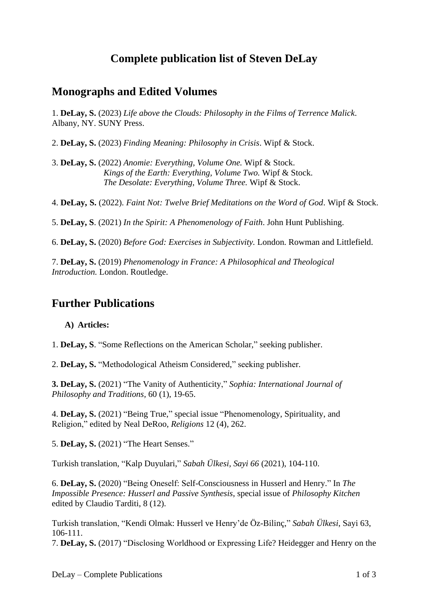# **Complete publication list of Steven DeLay**

### **Monographs and Edited Volumes**

1. **DeLay, S.** (2023) *Life above the Clouds: Philosophy in the Films of Terrence Malick*. Albany, NY. SUNY Press.

2. **DeLay, S.** (2023) *Finding Meaning: Philosophy in Crisis*. Wipf & Stock.

3. **DeLay, S.** (2022) *Anomie: Everything, Volume One.* Wipf & Stock. *Kings of the Earth: Everything, Volume Two.* Wipf & Stock. *The Desolate: Everything, Volume Three.* Wipf & Stock.

4. **DeLay, S.** (2022). *Faint Not: Twelve Brief Meditations on the Word of God*. Wipf & Stock.

5. **DeLay, S**. (2021) *In the Spirit: A Phenomenology of Faith*. John Hunt Publishing.

6. **DeLay, S.** (2020) *Before God: Exercises in Subjectivity.* London. Rowman and Littlefield.

7. **DeLay, S.** (2019) *Phenomenology in France: A Philosophical and Theological Introduction.* London. Routledge.

## **Further Publications**

#### **A) Articles:**

1. **DeLay, S**. "Some Reflections on the American Scholar," seeking publisher.

2. **DeLay, S.** "Methodological Atheism Considered," seeking publisher.

**3. DeLay, S.** (2021) "The Vanity of Authenticity," *Sophia: International Journal of Philosophy and Traditions,* 60 (1), 19-65.

4. **DeLay, S.** (2021) "Being True," special issue "Phenomenology, Spirituality, and Religion," edited by Neal DeRoo, *Religions* 12 (4), 262.

5. **DeLay, S.** (2021) "The Heart Senses."

Turkish translation, ["Kalp Duyulari,](https://www.sabahulkesi.com/sayi.php?no=66)" *Sabah Ülkesi, Sayi 66* (2021), 104-110.

6. **DeLay, S.** (2020) "Being Oneself: Self-Consciousness in Husserl and Henry." In *The Impossible Presence: Husserl and Passive Synthesis*, special issue of *Philosophy Kitchen* edited by Claudio Tarditi, 8 (12).

Turkish translation, ["Kendi Olmak: Husserl ve Henry'de Öz-Bilinç,](https://www.sabahulkesi.com/sayi.php?no=63)" *Sabah Ülkesi*, Sayi 63, 106-111.

7. **DeLay, S.** (2017) "Disclosing Worldhood or Expressing Life? Heidegger and Henry on the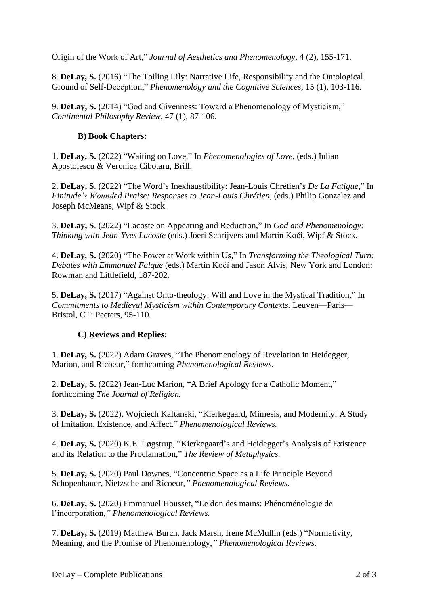Origin of the Work of Art," *Journal of Aesthetics and Phenomenology*, 4 (2), 155-171.

8. **DeLay, S.** (2016) "The Toiling Lily: Narrative Life, Responsibility and the Ontological Ground of Self-Deception," *Phenomenology and the Cognitive Sciences*, 15 (1), 103-116.

9. **DeLay, S.** (2014) "God and Givenness: Toward a Phenomenology of Mysticism," *Continental Philosophy Review*, 47 (1), 87-106.

### **B) Book Chapters:**

1. **DeLay, S.** (2022) "Waiting on Love," In *Phenomenologies of Love,* (eds.) Iulian Apostolescu & Veronica Cibotaru, Brill.

2. **DeLay, S**. (2022) "The Word's Inexhaustibility: Jean-Louis Chrétien's *De La Fatigue*," In *Finitude's Wounded Praise: Responses to Jean-Louis Chrétien, (eds.) Philip Gonzalez and* Joseph McMeans, Wipf & Stock.

3. **DeLay, S**. (2022) "Lacoste on Appearing and Reduction," In *God and Phenomenology: Thinking with Jean-Yves Lacoste* (eds.) [Joeri Schrijvers and Martin Kočí,](https://www.academia.edu/42196328/If_the_World_Hate_You_forthcoming_Quillette_) Wipf & Stock.

4. **DeLay, S.** (2020) "The Power at Work within Us," In *Transforming the Theological Turn: Debates with Emmanuel Falque* (eds.) Martin Kočí and Jason Alvis, New York and London: Rowman and Littlefield, 187-202.

5. **DeLay, S.** (2017) "Against Onto-theology: Will and Love in the Mystical Tradition," In *Commitments to Medieval Mysticism within Contemporary Contexts.* Leuven—Paris— Bristol, CT: Peeters, 95-110.

### **C) Reviews and Replies:**

1. **DeLay, S.** (2022) Adam Graves, "The Phenomenology of Revelation in Heidegger, Marion, and Ricoeur," forthcoming *Phenomenological Reviews.*

2. **DeLay, S.** (2022) Jean-Luc Marion, "A Brief Apology for a Catholic Moment," forthcoming *The Journal of Religion.*

3. **DeLay, S.** (2022). Wojciech Kaftanski, "Kierkegaard, Mimesis, and Modernity: A Study of Imitation, Existence, and Affect," *Phenomenological Reviews.*

4. **DeLay, S.** (2020) K.E. Løgstrup, "Kierkegaard's and Heidegger's Analysis of Existence and its Relation to the Proclamation," *The Review of Metaphysics.*

5. **DeLay, S.** (2020) Paul Downes, "Concentric Space as a Life Principle Beyond Schopenhauer, Nietzsche and Ricoeur,*" Phenomenological Reviews.*

6. **DeLay, S.** (2020) Emmanuel Housset, "Le don des mains: Phénoménologie de l'incorporation,*" Phenomenological Reviews.*

7. **DeLay, S.** (2019) Matthew Burch, Jack Marsh, Irene McMullin (eds.) "Normativity, Meaning, and the Promise of Phenomenology,*" Phenomenological Reviews.*